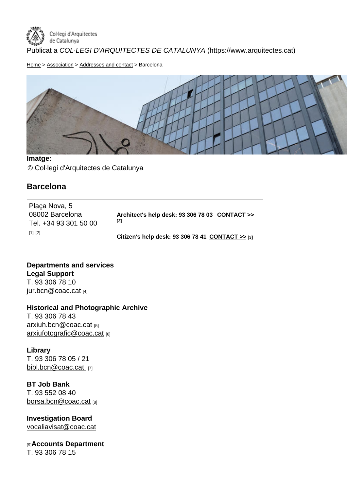Home > Association > Addresses and contact > Barcelona

Imatge: © Col·legi d'Arquitectes de Catalunya

**Barcelona** 

| Plaça Nova, 5<br>08002 Barcelona<br>Tel. +34 93 301 50 00 | Architect's help desk: 93 306 78 03<br>CONTACT >><br>[3] |  |
|-----------------------------------------------------------|----------------------------------------------------------|--|
| $[1]$ $[2]$                                               | Citizen's help desk: 93 306 78 41 CONTACT $\gg$ [3]      |  |

Departments and services Legal Support T. 93 306 78 10 jur.bcn@coac.cat [4]

Historical and Photographic Archive [T. 93 306 78 43](mailto:jur.bcn@coac.cat)  arxiuh.bcn@coac.cat [5] arxiufotografic@coac.cat [6]

[Library](mailto:arxiuh.bcn@coac.cat) [T. 93 306 78 05 / 21](mailto:arxiufotografic@coac.cat) bibl.bcn@coac.cat [7]

BT Job Bank [T. 93 552 08 40](mailto:bibl.bcn@coac.cat )  borsa.bcn@coac.cat [8]

Investigation Board [vocaliavisat@coac.ca](mailto:borsa.bcn@coac.cat)t

[9]Accounts Department [T. 93 306 78 15](mailto:vocaliavisat@coac.cat)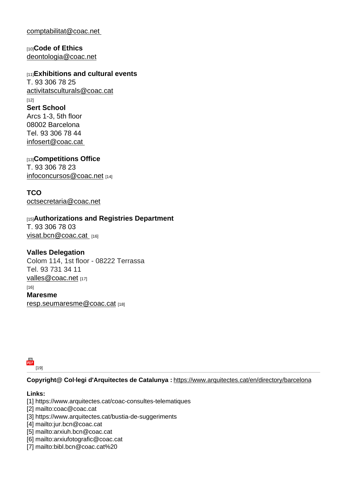comptabilitat@coac.net

[10]Code of Ethics [deontologia@coac.net](mailto:comptabilitat@coac.net )

[11] Exhibitions and cultural events [T. 93 306 78 25](mailto:deontologia@coac.net)  activitatsculturals@coac.cat [12] Sert School [Arcs 1-3, 5th floor](mailto:activitatsculturals@coac.cat) 08002 Barcelona Tel. 93 306 78 44 infosert@coac.cat

[13]Competitions Office [T. 93 306 78 23](mailto:infosert@coac.cat )  infoconcursos@coac.net [14]

**TCO** [octsecretaria@coac.net](mailto:infoconcursos@coac.net)

[15] Authorizations and Registries Department [T. 93 306 78 03](mailto:octsecretaria@coac.net) visat.bcn@coac.cat [16]

Valles Delegation [Colom 114, 1st floor](mailto:visat.bcn@coac.cat ) - 08222 Terrassa Tel. 93 731 34 11 valles@coac.net [17]  $[16]$ Maresme [resp.seumaresm](mailto:valles@coac.net)e@coac.cat [18]

[19]

Copyright@ Col·legi d'Arquitectes de Catalunya : https://www.arquitectes.cat/en/directory/barcelona

[Lin](https://www.arquitectes.cat/en/printpdf/printpdf/1739)ks:

[1] https://www.arquitectes.cat/coac-consultes-telematiques

[2] mailto:coac@coac.cat

[3] https://www.arquitectes.cat/bustia-de-suggeriments

[4] mailto:jur.bcn@coac.cat

- [5] mailto:arxiuh.bcn@coac.cat
- [6] mailto:arxiufotografic@coac.cat
- [7] mailto:bibl.bcn@coac.cat%20